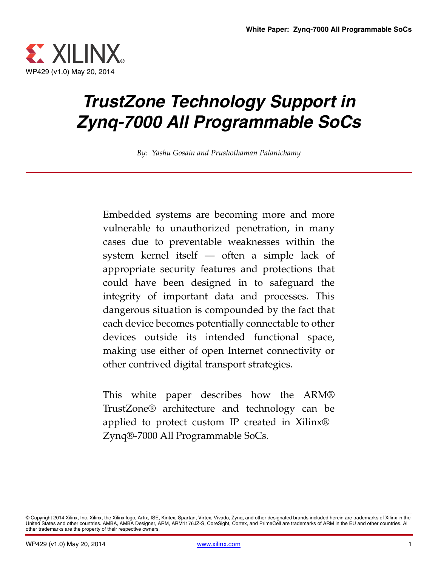

# *TrustZone Technology Support in Zynq-7000 All Programmable SoCs*

*By: Yashu Gosain and Prushothaman Palanichamy*

Embedded systems are becoming more and more vulnerable to unauthorized penetration, in many cases due to preventable weaknesses within the system kernel itself — often a simple lack of appropriate security features and protections that could have been designed in to safeguard the integrity of important data and processes. This dangerous situation is compounded by the fact that each device becomes potentially connectable to other devices outside its intended functional space, making use either of open Internet connectivity or other contrived digital transport strategies.

This white paper describes how the ARM® TrustZone® architecture and technology can be applied to protect custom IP created in Xilinx® Zynq®-7000 All Programmable SoCs.

<sup>©</sup> Copyright 2014 Xilinx, Inc. Xilinx, the Xilinx logo, Artix, ISE, Kintex, Spartan, Virtex, Vivado, Zynq, and other designated brands included herein are trademarks of Xilinx in the<br>United States and other countries. AMBA, other trademarks are the property of their respective owners.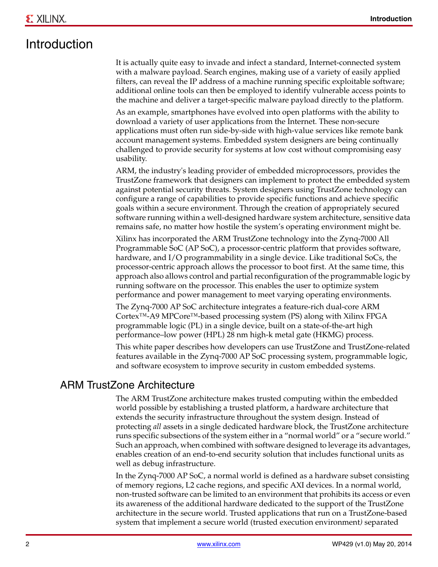### Introduction

It is actually quite easy to invade and infect a standard, Internet-connected system with a malware payload. Search engines, making use of a variety of easily applied filters, can reveal the IP address of a machine running specific exploitable software; additional online tools can then be employed to identify vulnerable access points to the machine and deliver a target-specific malware payload directly to the platform.

As an example, smartphones have evolved into open platforms with the ability to download a variety of user applications from the Internet. These non-secure applications must often run side-by-side with high-value services like remote bank account management systems. Embedded system designers are being continually challenged to provide security for systems at low cost without compromising easy usability.

ARM, the industry's leading provider of embedded microprocessors, provides the TrustZone framework that designers can implement to protect the embedded system against potential security threats. System designers using TrustZone technology can configure a range of capabilities to provide specific functions and achieve specific goals within a secure environment. Through the creation of appropriately secured software running within a well-designed hardware system architecture, sensitive data remains safe, no matter how hostile the system's operating environment might be.

Xilinx has incorporated the ARM TrustZone technology into the Zynq-7000 All Programmable SoC (AP SoC), a processor-centric platform that provides software, hardware, and I/O programmability in a single device. Like traditional SoCs, the processor-centric approach allows the processor to boot first. At the same time, this approach also allows control and partial reconfiguration of the programmable logic by running software on the processor. This enables the user to optimize system performance and power management to meet varying operating environments.

The Zynq-7000 AP SoC architecture integrates a feature-rich dual-core ARM Cortex™-A9 MPCore™-based processing system (PS) along with Xilinx FPGA programmable logic (PL) in a single device, built on a state-of-the-art high performance–low power (HPL) 28 nm high-k metal gate (HKMG) process.

This white paper describes how developers can use TrustZone and TrustZone-related features available in the Zynq-7000 AP SoC processing system, programmable logic, and software ecosystem to improve security in custom embedded systems.

### ARM TrustZone Architecture

The ARM TrustZone architecture makes trusted computing within the embedded world possible by establishing a trusted platform, a hardware architecture that extends the security infrastructure throughout the system design. Instead of protecting *all* assets in a single dedicated hardware block, the TrustZone architecture runs specific subsections of the system either in a "normal world" or a "secure world." Such an approach, when combined with software designed to leverage its advantages, enables creation of an end-to-end security solution that includes functional units as well as debug infrastructure.

In the Zynq-7000 AP SoC, a normal world is defined as a hardware subset consisting of memory regions, L2 cache regions, and specific AXI devices. In a normal world, non-trusted software can be limited to an environment that prohibits its access or even its awareness of the additional hardware dedicated to the support of the TrustZone architecture in the secure world. Trusted applications that run on a TrustZone-based system that implement a secure world (trusted execution environment*)* separated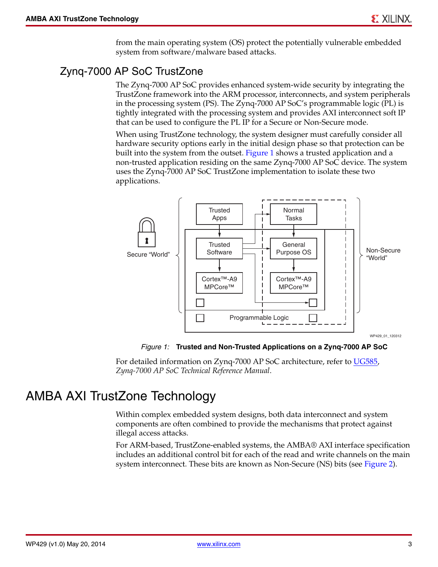from the main operating system (OS) protect the potentially vulnerable embedded system from software/malware based attacks.

### Zynq-7000 AP SoC TrustZone

The Zynq-7000 AP SoC provides enhanced system-wide security by integrating the TrustZone framework into the ARM processor, interconnects, and system peripherals in the processing system (PS). The Zynq-7000 AP SoC's programmable logic (PL) is tightly integrated with the processing system and provides AXI interconnect soft IP that can be used to configure the PL IP for a Secure or Non-Secure mode.

When using TrustZone technology, the system designer must carefully consider all hardware security options early in the initial design phase so that protection can be built into the system from the outset. [Figure 1](#page-2-0) shows a trusted application and a non-trusted application residing on the same Zynq-7000 AP SoC device. The system uses the Zynq-7000 AP SoC TrustZone implementation to isolate these two applications.

<span id="page-2-0"></span>

*Figure 1:* **Trusted and Non-Trusted Applications on a Zynq-7000 AP SoC**

For detailed information on Zynq-7000 AP SoC architecture, refer to [UG585,](http://www.xilinx.com/support/documentation/user_guides/ug585-Zynq-7000-TRM.pdf) *Zynq-7000 AP SoC Technical Reference Manual*.

### AMBA AXI TrustZone Technology

Within complex embedded system designs, both data interconnect and system components are often combined to provide the mechanisms that protect against illegal access attacks.

For ARM-based, TrustZone-enabled systems, the AMBA® AXI interface specification includes an additional control bit for each of the read and write channels on the main system interconnect. These bits are known as Non-Secure (NS) bits (see [Figure 2](#page-3-0)).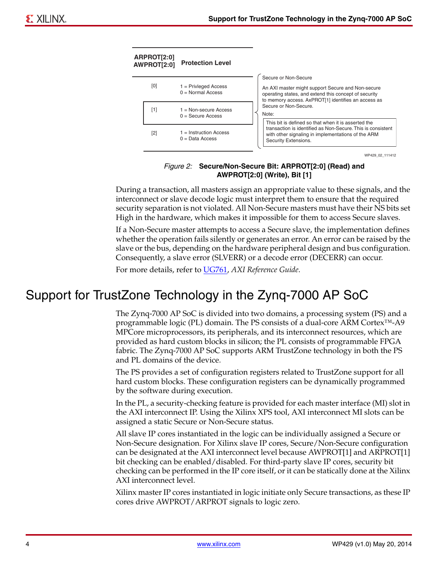<span id="page-3-0"></span>

WP429\_02\_111412

#### *Figure 2:* **Secure/Non-Secure Bit: ARPROT[2:0] (Read) and AWPROT[2:0] (Write), Bit [1]**

During a transaction, all masters assign an appropriate value to these signals, and the interconnect or slave decode logic must interpret them to ensure that the required security separation is not violated. All Non-Secure masters must have their NS bits set High in the hardware, which makes it impossible for them to access Secure slaves.

If a Non-Secure master attempts to access a Secure slave, the implementation defines whether the operation fails silently or generates an error. An error can be raised by the slave or the bus, depending on the hardware peripheral design and bus configuration. Consequently, a slave error (SLVERR) or a decode error (DECERR) can occur.

For more details, refer to [UG761,](http://www.xilinx.com/support/documentation/ip_documentation/ug761_axi_reference_guide.pdf) *AXI Reference Guide*.

# Support for TrustZone Technology in the Zynq-7000 AP SoC

The Zynq-7000 AP SoC is divided into two domains, a processing system (PS) and a programmable logic (PL) domain. The PS consists of a dual-core ARM Cortex™-A9 MPCore microprocessors, its peripherals, and its interconnect resources, which are provided as hard custom blocks in silicon; the PL consists of programmable FPGA fabric. The Zynq-7000 AP SoC supports ARM TrustZone technology in both the PS and PL domains of the device.

The PS provides a set of configuration registers related to TrustZone support for all hard custom blocks. These configuration registers can be dynamically programmed by the software during execution.

In the PL, a security-checking feature is provided for each master interface (MI) slot in the AXI interconnect IP. Using the Xilinx XPS tool, AXI interconnect MI slots can be assigned a static Secure or Non-Secure status.

All slave IP cores instantiated in the logic can be individually assigned a Secure or Non-Secure designation. For Xilinx slave IP cores, Secure/Non-Secure configuration can be designated at the AXI interconnect level because AWPROT[1] and ARPROT[1] bit checking can be enabled/disabled. For third-party slave IP cores, security bit checking can be performed in the IP core itself, or it can be statically done at the Xilinx AXI interconnect level.

Xilinx master IP cores instantiated in logic initiate only Secure transactions, as these IP cores drive AWPROT/ARPROT signals to logic zero.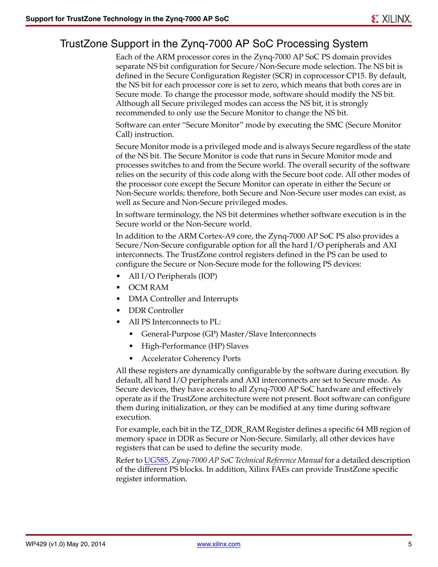### TrustZone Support in the Zynq-7000 AP SoC Processing System

Each of the ARM processor cores in the Zynq-7000 AP SoC PS domain provides separate NS bit configuration for Secure/Non-Secure mode selection. The NS bit is defined in the Secure Configuration Register (SCR) in coprocessor CP15. By default, the NS bit for each processor core is set to zero, which means that both cores are in Secure mode. To change the processor mode, software should modify the NS bit. Although all Secure privileged modes can access the NS bit, it is strongly recommended to only use the Secure Monitor to change the NS bit.

Software can enter "Secure Monitor" mode by executing the SMC (Secure Monitor Call) instruction.

Secure Monitor mode is a privileged mode and is always Secure regardless of the state of the NS bit. The Secure Monitor is code that runs in Secure Monitor mode and processes switches to and from the Secure world. The overall security of the software relies on the security of this code along with the Secure boot code. All other modes of the processor core except the Secure Monitor can operate in either the Secure or Non-Secure worlds; therefore, both Secure and Non-Secure user modes can exist, as well as Secure and Non-Secure privileged modes.

In software terminology, the NS bit determines whether software execution is in the Secure world or the Non-Secure world.

In addition to the ARM Cortex-A9 core, the Zynq-7000 AP SoC PS also provides a Secure/Non-Secure configurable option for all the hard I/O peripherals and AXI interconnects. The TrustZone control registers defined in the PS can be used to configure the Secure or Non-Secure mode for the following PS devices:

- All I/O Peripherals (IOP)
- OCM RAM
- DMA Controller and Interrupts
- DDR Controller
- All PS Interconnects to PL:
	- General-Purpose (GP) Master/Slave Interconnects
	- High-Performance (HP) Slaves
	- Accelerator Coherency Ports

All these registers are dynamically configurable by the software during execution. By default, all hard I/O peripherals and AXI interconnects are set to Secure mode. As Secure devices, they have access to all Zynq-7000 AP SoC hardware and effectively operate as if the TrustZone architecture were not present. Boot software can configure them during initialization, or they can be modified at any time during software execution.

For example, each bit in the TZ\_DDR\_RAM Register defines a specific 64 MB region of memory space in DDR as Secure or Non-Secure. Similarly, all other devices have registers that can be used to define the security mode.

Refer to [UG585](http://www.xilinx.com/support/documentation/user_guides/ug585-Zynq-7000-TRM.pdf), *Zynq-7000 AP SoC Technical Reference Manual* for a detailed description of the different PS blocks. In addition, Xilinx FAEs can provide TrustZone specific register information.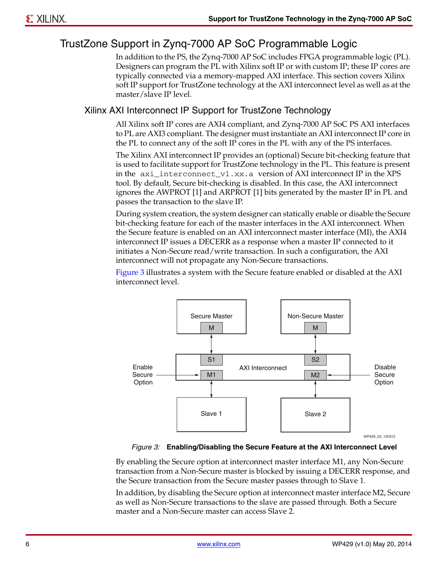### TrustZone Support in Zynq-7000 AP SoC Programmable Logic

In addition to the PS, the Zynq-7000 AP SoC includes FPGA programmable logic (PL). Designers can program the PL with Xilinx soft IP or with custom IP; these IP cores are typically connected via a memory-mapped AXI interface. This section covers Xilinx soft IP support for TrustZone technology at the AXI interconnect level as well as at the master/slave IP level.

#### Xilinx AXI Interconnect IP Support for TrustZone Technology

All Xilinx soft IP cores are AXI4 compliant, and Zynq-7000 AP SoC PS AXI interfaces to PL are AXI3 compliant. The designer must instantiate an AXI interconnect IP core in the PL to connect any of the soft IP cores in the PL with any of the PS interfaces.

The Xilinx AXI interconnect IP provides an (optional) Secure bit-checking feature that is used to facilitate support for TrustZone technology in the PL. This feature is present in the axi\_interconnect\_v1.xx.a version of AXI interconnect IP in the XPS tool. By default, Secure bit-checking is disabled. In this case, the AXI interconnect ignores the AWPROT [1] and ARPROT [1] bits generated by the master IP in PL and passes the transaction to the slave IP.

During system creation, the system designer can statically enable or disable the Secure bit-checking feature for each of the master interfaces in the AXI interconnect. When the Secure feature is enabled on an AXI interconnect master interface (MI), the AXI4 interconnect IP issues a DECERR as a response when a master IP connected to it initiates a Non-Secure read/write transaction. In such a configuration, the AXI interconnect will not propagate any Non-Secure transactions.

[Figure 3](#page-5-0) illustrates a system with the Secure feature enabled or disabled at the AXI interconnect level.

<span id="page-5-0"></span>

*Figure 3:* **Enabling/Disabling the Secure Feature at the AXI Interconnect Level**

By enabling the Secure option at interconnect master interface M1, any Non-Secure transaction from a Non-Secure master is blocked by issuing a DECERR response, and the Secure transaction from the Secure master passes through to Slave 1.

In addition, by disabling the Secure option at interconnect master interface M2, Secure as well as Non-Secure transactions to the slave are passed through. Both a Secure master and a Non-Secure master can access Slave 2.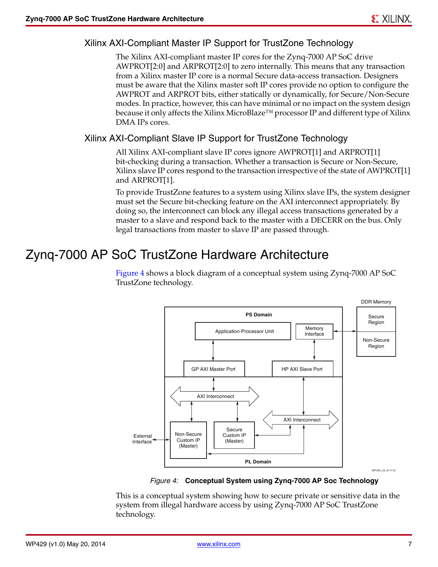#### Xilinx AXI-Compliant Master IP Support for TrustZone Technology

The Xilinx AXI-compliant master IP cores for the Zynq-7000 AP SoC drive AWPROT[2:0] and ARPROT[2:0] to zero internally. This means that any transaction from a Xilinx master IP core is a normal Secure data-access transaction. Designers must be aware that the Xilinx master soft IP cores provide no option to configure the AWPROT and ARPROT bits, either statically or dynamically, for Secure/Non-Secure modes. In practice, however, this can have minimal or no impact on the system design because it only affects the Xilinx MicroBlaze<sup>™</sup> processor IP and different type of Xilinx DMA IPs cores.

#### Xilinx AXI-Compliant Slave IP Support for TrustZone Technology

All Xilinx AXI-compliant slave IP cores ignore AWPROT[1] and ARPROT[1] bit-checking during a transaction. Whether a transaction is Secure or Non-Secure, Xilinx slave IP cores respond to the transaction irrespective of the state of AWPROT[1] and ARPROT[1].

To provide TrustZone features to a system using Xilinx slave IPs, the system designer must set the Secure bit-checking feature on the AXI interconnect appropriately. By doing so, the interconnect can block any illegal access transactions generated by a master to a slave and respond back to the master with a DECERR on the bus. Only legal transactions from master to slave IP are passed through.

### Zynq-7000 AP SoC TrustZone Hardware Architecture

[Figure 4](#page-6-0) shows a block diagram of a conceptual system using Zynq-7000 AP SoC TrustZone technology.

<span id="page-6-0"></span>

*Figure 4:* **Conceptual System using Zynq-7000 AP Soc Technology**

This is a conceptual system showing how to secure private or sensitive data in the system from illegal hardware access by using Zynq-7000 AP SoC TrustZone technology.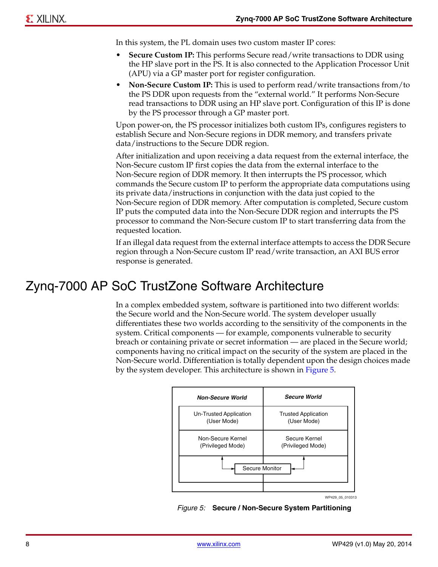In this system, the PL domain uses two custom master IP cores:

- **Secure Custom IP:** This performs Secure read/write transactions to DDR using the HP slave port in the PS. It is also connected to the Application Processor Unit (APU) via a GP master port for register configuration.
- **Non-Secure Custom IP:** This is used to perform read/write transactions from/to the PS DDR upon requests from the "external world." It performs Non-Secure read transactions to DDR using an HP slave port. Configuration of this IP is done by the PS processor through a GP master port.

Upon power-on, the PS processor initializes both custom IPs, configures registers to establish Secure and Non-Secure regions in DDR memory, and transfers private data/instructions to the Secure DDR region.

After initialization and upon receiving a data request from the external interface, the Non-Secure custom IP first copies the data from the external interface to the Non-Secure region of DDR memory. It then interrupts the PS processor, which commands the Secure custom IP to perform the appropriate data computations using its private data/instructions in conjunction with the data just copied to the Non-Secure region of DDR memory. After computation is completed, Secure custom IP puts the computed data into the Non-Secure DDR region and interrupts the PS processor to command the Non-Secure custom IP to start transferring data from the requested location.

If an illegal data request from the external interface attempts to access the DDR Secure region through a Non-Secure custom IP read/write transaction, an AXI BUS error response is generated.

### Zynq-7000 AP SoC TrustZone Software Architecture

In a complex embedded system, software is partitioned into two different worlds: the Secure world and the Non-Secure world. The system developer usually differentiates these two worlds according to the sensitivity of the components in the system. Critical components — for example, components vulnerable to security breach or containing private or secret information — are placed in the Secure world; components having no critical impact on the security of the system are placed in the Non-Secure world. Differentiation is totally dependent upon the design choices made by the system developer. This architecture is shown in [Figure 5](#page-7-0).

<span id="page-7-0"></span>

*Figure 5:* **Secure / Non-Secure System Partitioning**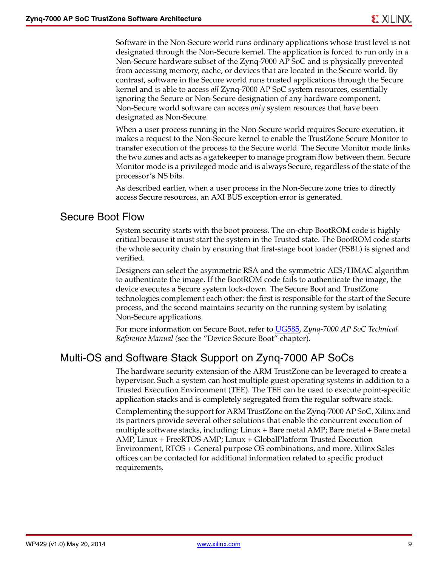Software in the Non-Secure world runs ordinary applications whose trust level is not designated through the Non-Secure kernel. The application is forced to run only in a Non-Secure hardware subset of the Zynq-7000 AP SoC and is physically prevented from accessing memory, cache, or devices that are located in the Secure world. By contrast, software in the Secure world runs trusted applications through the Secure kernel and is able to access *all* Zynq-7000 AP SoC system resources, essentially ignoring the Secure or Non-Secure designation of any hardware component. Non-Secure world software can access *only* system resources that have been designated as Non-Secure.

When a user process running in the Non-Secure world requires Secure execution, it makes a request to the Non-Secure kernel to enable the TrustZone Secure Monitor to transfer execution of the process to the Secure world. The Secure Monitor mode links the two zones and acts as a gatekeeper to manage program flow between them. Secure Monitor mode is a privileged mode and is always Secure, regardless of the state of the processor's NS bits.

As described earlier, when a user process in the Non-Secure zone tries to directly access Secure resources, an AXI BUS exception error is generated.

#### Secure Boot Flow

System security starts with the boot process. The on-chip BootROM code is highly critical because it must start the system in the Trusted state. The BootROM code starts the whole security chain by ensuring that first-stage boot loader (FSBL) is signed and verified.

Designers can select the asymmetric RSA and the symmetric AES/HMAC algorithm to authenticate the image. If the BootROM code fails to authenticate the image, the device executes a Secure system lock-down. The Secure Boot and TrustZone technologies complement each other: the first is responsible for the start of the Secure process, and the second maintains security on the running system by isolating Non-Secure applications.

For more information on Secure Boot, refer to [UG585](http://www.xilinx.com/support/documentation/user_guides/ug585-Zynq-7000-TRM.pdf), *Zynq-7000 AP SoC Technical Reference Manual (*see the "Device Secure Boot" chapter).

### Multi-OS and Software Stack Support on Zynq-7000 AP SoCs

The hardware security extension of the ARM TrustZone can be leveraged to create a hypervisor. Such a system can host multiple guest operating systems in addition to a Trusted Execution Environment (TEE). The TEE can be used to execute point-specific application stacks and is completely segregated from the regular software stack.

Complementing the support for ARM TrustZone on the Zynq-7000 AP SoC, Xilinx and its partners provide several other solutions that enable the concurrent execution of multiple software stacks, including: Linux + Bare metal AMP; Bare metal + Bare metal AMP, Linux + FreeRTOS AMP; Linux + GlobalPlatform Trusted Execution Environment, RTOS + General purpose OS combinations, and more. Xilinx Sales offices can be contacted for additional information related to specific product requirements.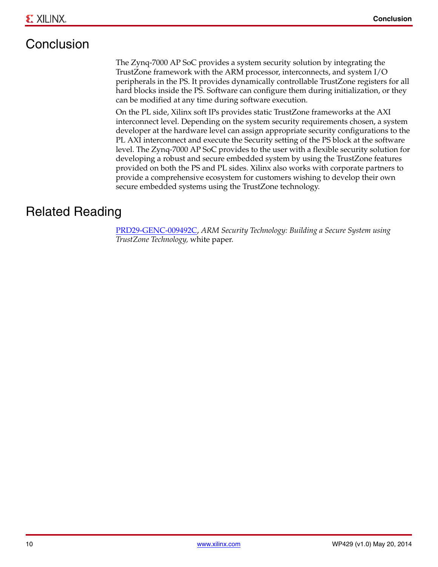# **Conclusion**

The Zynq-7000 AP SoC provides a system security solution by integrating the TrustZone framework with the ARM processor, interconnects, and system I/O peripherals in the PS. It provides dynamically controllable TrustZone registers for all hard blocks inside the PS. Software can configure them during initialization, or they can be modified at any time during software execution.

On the PL side, Xilinx soft IPs provides static TrustZone frameworks at the AXI interconnect level. Depending on the system security requirements chosen, a system developer at the hardware level can assign appropriate security configurations to the PL AXI interconnect and execute the Security setting of the PS block at the software level. The Zynq-7000 AP SoC provides to the user with a flexible security solution for developing a robust and secure embedded system by using the TrustZone features provided on both the PS and PL sides. Xilinx also works with corporate partners to provide a comprehensive ecosystem for customers wishing to develop their own secure embedded systems using the TrustZone technology.

### Related Reading

[PRD29-GENC-009492C,](http://www.google.com/url?sa=t&rct=j&q=&esrc=s&source=web&cd=1&cad=rja&ved=0CCEQFjAA&url=http%3A%2F%2Finfocenter.arm.com%2Fhelp%2Ftopic%2Fcom.arm.doc.prd29-genc-009492c%2FPRD29-GENC-009492C_trustzone_security_whitepaper.pdf&ei=RJ2SUJaBMsKs2wXlooD4AQ&usg=AFQjCNFNWrQU5lP_y-PRRalCw-clYJHQPA) *ARM Security Technology: Building a Secure System using TrustZone Technology,* white paper.